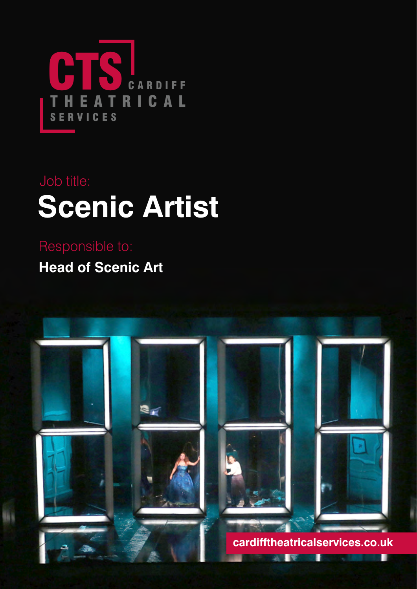

# **Scenic Artist** Job title:

**Head of Scenic Art** Responsible to:

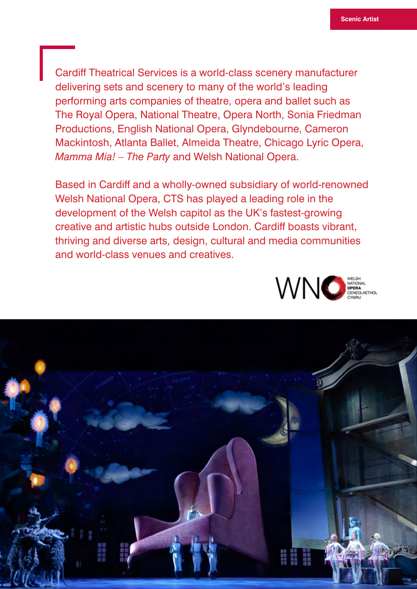Cardiff Theatrical Services is a world-class scenery manufacturer delivering sets and scenery to many of the world's leading performing arts companies of theatre, opera and ballet such as The Royal Opera, National Theatre, Opera North, Sonia Friedman Productions, English National Opera, Glyndebourne, Cameron Mackintosh, Atlanta Ballet, Almeida Theatre, Chicago Lyric Opera, *Mamma Mia! – The Party* and Welsh National Opera.

Based in Cardiff and a wholly-owned subsidiary of world-renowned Welsh National Opera, CTS has played a leading role in the development of the Welsh capitol as the UK's fastest-growing creative and artistic hubs outside London. Cardiff boasts vibrant, thriving and diverse arts, design, cultural and media communities and world-class venues and creatives.



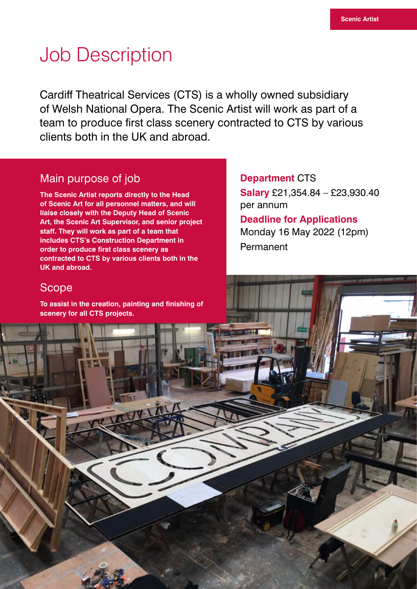### Job Description

Cardiff Theatrical Services (CTS) is a wholly owned subsidiary of Welsh National Opera. The Scenic Artist will work as part of a team to produce first class scenery contracted to CTS by various clients both in the UK and abroad.

#### Main purpose of job

**The Scenic Artist reports directly to the Head of Scenic Art for all personnel matters, and will liaise closely with the Deputy Head of Scenic Art, the Scenic Art Supervisor, and senior project staff. They will work as part of a team that includes CTS's Construction Department in order to produce first class scenery as contracted to CTS by various clients both in the UK and abroad.**

**Department** CTS **Salary** £21,354.84 – £23,930.40 per annum

**Deadline for Applications**  Monday 16 May 2022 (12pm) Permanent

#### **Scope**

**To assist in the creation, painting and finishing of scenery for all CTS projects.**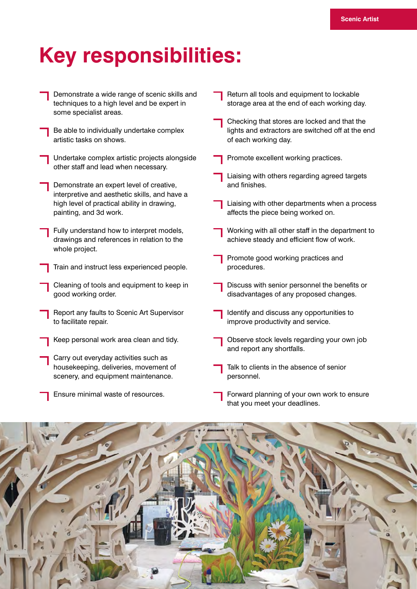## **Key responsibilities:**

| Demonstrate a wide range of scenic skills and<br>techniques to a high level and be expert in<br>some specialist areas. | Return all tools and equipment to lockable<br>storage area at the end of each working day.                                |
|------------------------------------------------------------------------------------------------------------------------|---------------------------------------------------------------------------------------------------------------------------|
| Be able to individually undertake complex<br>artistic tasks on shows.                                                  | Checking that stores are locked and that the<br>lights and extractors are switched off at the end<br>of each working day. |
| Undertake complex artistic projects alongside<br>other staff and lead when necessary.                                  | Promote excellent working practices.                                                                                      |
| Demonstrate an expert level of creative,                                                                               | Liaising with others regarding agreed targets<br>and finishes.                                                            |
| interpretive and aesthetic skills, and have a<br>high level of practical ability in drawing,<br>painting, and 3d work. | Liaising with other departments when a process<br>affects the piece being worked on.                                      |
| Fully understand how to interpret models,<br>drawings and references in relation to the<br>whole project.              | Working with all other staff in the department to<br>achieve steady and efficient flow of work.                           |
| Train and instruct less experienced people.                                                                            | Promote good working practices and<br>procedures.                                                                         |
| Cleaning of tools and equipment to keep in<br>good working order.                                                      | Discuss with senior personnel the benefits or<br>disadvantages of any proposed changes.                                   |
| Report any faults to Scenic Art Supervisor<br>to facilitate repair.                                                    | Identify and discuss any opportunities to<br>improve productivity and service.                                            |
| Keep personal work area clean and tidy.                                                                                | Observe stock levels regarding your own job<br>and report any shortfalls.                                                 |
| Carry out everyday activities such as<br>housekeeping, deliveries, movement of<br>scenery, and equipment maintenance.  | Talk to clients in the absence of senior<br>personnel.                                                                    |
| Ensure minimal waste of resources.                                                                                     | Forward planning of your own work to ensure<br>that you meet your deadlines.                                              |

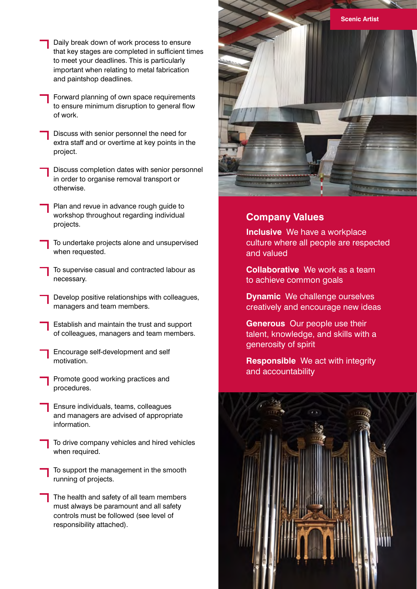- Daily break down of work process to ensure that key stages are completed in sufficient times to meet your deadlines. This is particularly important when relating to metal fabrication and paintshop deadlines.
- Forward planning of own space requirements to ensure minimum disruption to general flow of work.
- Discuss with senior personnel the need for extra staff and or overtime at key points in the project.
- Discuss completion dates with senior personnel in order to organise removal transport or otherwise.
- Plan and revue in advance rough guide to workshop throughout regarding individual projects.
- To undertake projects alone and unsupervised when requested.
- To supervise casual and contracted labour as necessary.
- Develop positive relationships with colleagues, managers and team members.
- Establish and maintain the trust and support of colleagues, managers and team members.
- Encourage self-development and self motivation.
- Promote good working practices and procedures.
- Ensure individuals, teams, colleagues and managers are advised of appropriate information.
	- To drive company vehicles and hired vehicles when required.
- To support the management in the smooth running of projects.
- The health and safety of all team members must always be paramount and all safety controls must be followed (see level of responsibility attached).



#### **Company Values**

**Inclusive** We have a workplace culture where all people are respected and valued

**Collaborative** We work as a team to achieve common goals

- **Dynamic** We challenge ourselves creatively and encourage new ideas
- **Generous** Our people use their talent, knowledge, and skills with a generosity of spirit

**Responsible** We act with integrity and accountability

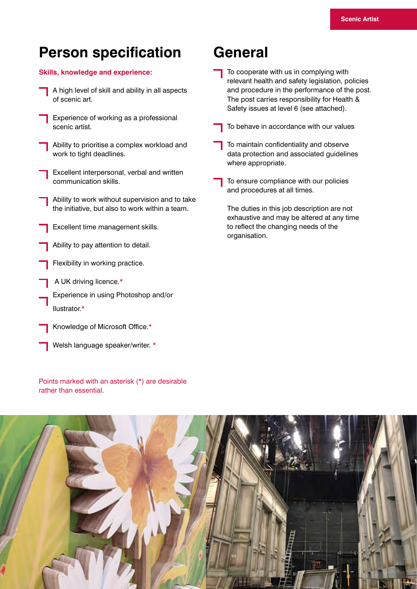### **Person specification**

#### **Skills, knowledge and experience:**

- A high level of skill and ability in all aspects of scenic art.
- Experience of working as a professional scenic artist.
- Ability to prioritise a complex workload and work to tight deadlines.
- Excellent interpersonal, verbal and written communication skills.
- Ability to work without supervision and to take the initiative, but also to work within a team.
- Excellent time management skills.
- Ability to pay attention to detail.
- Flexibility in working practice.
- A UK driving licence.\*
- Experience in using Photoshop and/or Ilustrator.\*
- Knowledge of Microsoft Office.\*
	- Welsh language speaker/writer. \*

Points marked with an asterisk (\*) are desirable rather than essential.

### **General**

- To cooperate with us in complying with relevant health and safety legislation, policies and procedure in the performance of the post. The post carries responsibility for Health & Safety issues at level 6 (see attached).
- To behave in accordance with our values
- To maintain confidentiality and observe data protection and associated guidelines where appropriate.
- To ensure compliance with our policies and procedures at all times.
	- The duties in this job description are not exhaustive and may be altered at any time to reflect the changing needs of the organisation.